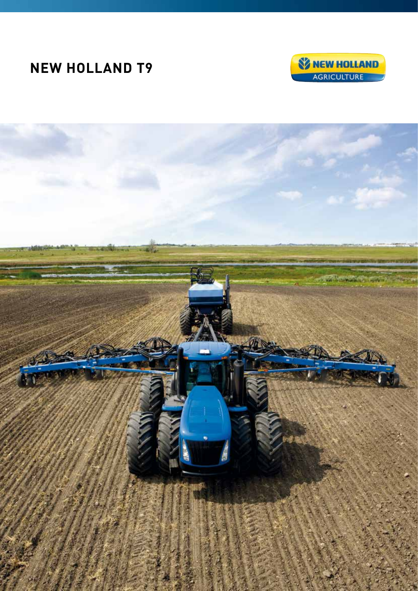# **NEW HOLLAND T9**



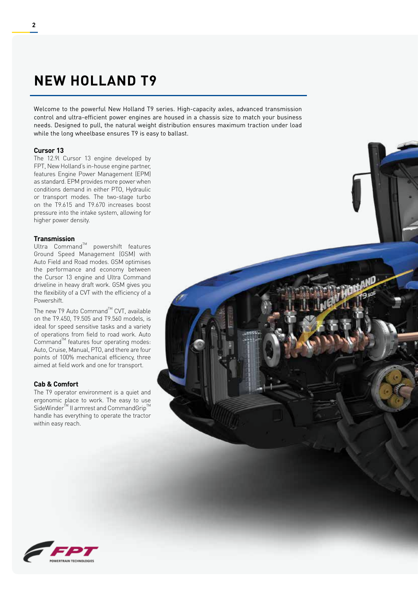## **NEW HOLLAND T9**

Welcome to the powerful New Holland T9 series. High-capacity axles, advanced transmission control and ultra-efficient power engines are housed in a chassis size to match your business needs. Designed to pull, the natural weight distribution ensures maximum traction under load while the long wheelbase ensures T9 is easy to ballast.

#### **Cursor 13**

The 12.9l Cursor 13 engine developed by FPT, New Holland's in-house engine partner, features Engine Power Management (EPM) as standard. EPM provides more power when conditions demand in either PTO, Hydraulic or transport modes. The two-stage turbo on the T9.615 and T9.670 increases boost pressure into the intake system, allowing for higher power density.

#### **Transmission**

Ultra  $Command^M$  powershift features Ground Speed Management (GSM) with Auto Field and Road modes. GSM optimises the performance and economy between the Cursor 13 engine and Ultra Command driveline in heavy draft work. GSM gives you the flexibility of a CVT with the efficiency of a Powershift.

The new T9 Auto Command™ CVT, available on the T9.450, T9.505 and T9.560 models, is ideal for speed sensitive tasks and a variety of operations from field to road work. Auto Command<sup>™</sup> features four operating modes: Auto, Cruise, Manual, PTO, and there are four points of 100% mechanical efficiency, three aimed at field work and one for transport.

#### **Cab & Comfort**

The T9 operator environment is a quiet and ergonomic place to work. The easy to use SideWinder<sup>™</sup> II armrest and CommandGrip<sup>™</sup> handle has everything to operate the tractor within easy reach.



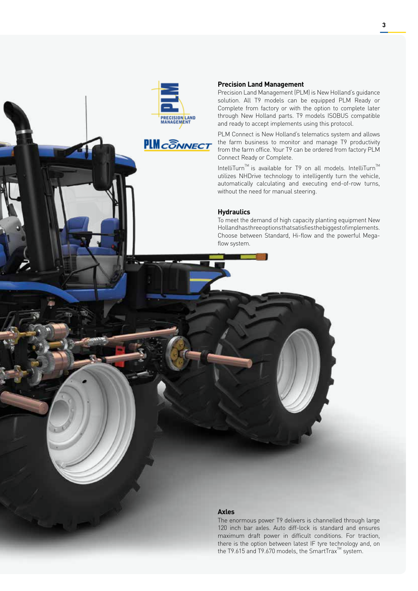



#### **Precision Land Management**

Precision Land Management (PLM) is New Holland's guidance solution. All T9 models can be equipped PLM Ready or Complete from factory or with the option to complete later through New Holland parts. T9 models ISOBUS compatible and ready to accept implements using this protocol.

PLM Connect is New Holland's telematics system and allows the farm business to monitor and manage T9 productivity from the farm office. Your T9 can be ordered from factory PLM Connect Ready or Complete.

IntelliTurn<sup>™</sup> is available for T9 on all models. IntelliTurn<sup>™</sup> utilizes NHDrive technology to intelligently turn the vehicle, automatically calculating and executing end-of-row turns, without the need for manual steering.

### **Hydraulics**

To meet the demand of high capacity planting equipment New Holland has three options that satisfies the biggest of implements. Choose between Standard, Hi-flow and the powerful Megaflow system.

#### **Axles**

The enormous power T9 delivers is channelled through large 120 inch bar axles. Auto diff-lock is standard and ensures maximum draft power in difficult conditions. For traction, there is the option between latest IF tyre technology and, on the T9.615 and T9.670 models, the SmartTrax<sup>™</sup> system.